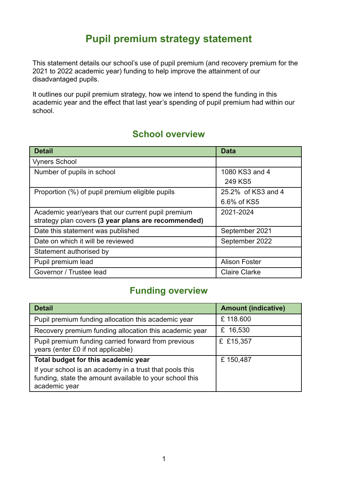# **Pupil premium strategy statement**

This statement details our school's use of pupil premium (and recovery premium for the 2021 to 2022 academic year) funding to help improve the attainment of our disadvantaged pupils.

It outlines our pupil premium strategy, how we intend to spend the funding in this academic year and the effect that last year's spending of pupil premium had within our school.

### **School overview**

| <b>Detail</b>                                       | <b>Data</b>          |
|-----------------------------------------------------|----------------------|
| <b>Vyners School</b>                                |                      |
| Number of pupils in school                          | 1080 KS3 and 4       |
|                                                     | 249 KS5              |
| Proportion (%) of pupil premium eligible pupils     | 25.2% of KS3 and 4   |
|                                                     | 6.6% of KS5          |
| Academic year/years that our current pupil premium  | 2021-2024            |
| strategy plan covers (3 year plans are recommended) |                      |
| Date this statement was published                   | September 2021       |
| Date on which it will be reviewed                   | September 2022       |
| Statement authorised by                             |                      |
| Pupil premium lead                                  | <b>Alison Foster</b> |
| Governor / Trustee lead                             | <b>Claire Clarke</b> |

# **Funding overview**

| <b>Detail</b>                                                                                                                       | <b>Amount (indicative)</b> |
|-------------------------------------------------------------------------------------------------------------------------------------|----------------------------|
| Pupil premium funding allocation this academic year                                                                                 | £118.600                   |
| Recovery premium funding allocation this academic year                                                                              | £ 16,530                   |
| Pupil premium funding carried forward from previous<br>years (enter £0 if not applicable)                                           | £ £15,357                  |
| Total budget for this academic year                                                                                                 | £150,487                   |
| If your school is an academy in a trust that pools this<br>funding, state the amount available to your school this<br>academic year |                            |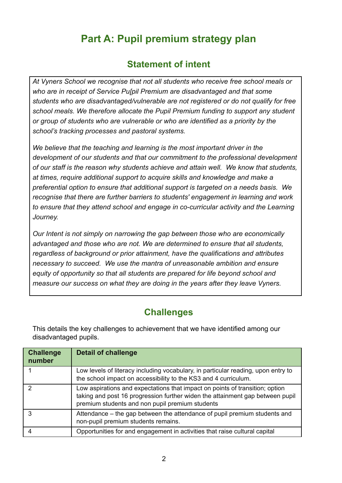# **Part A: Pupil premium strategy plan**

# **Statement of intent**

*At Vyners School we recognise that not all students who receive free school meals or who are in receipt of Service Pu[pil Premium are disadvantaged and that some students who are disadvantaged/vulnerable are not registered or do not qualify for free school meals. We therefore allocate the Pupil Premium funding to support any student or group of students who are vulnerable or who are identified as a priority by the school's tracking processes and pastoral systems.*

*We believe that the teaching and learning is the most important driver in the development of our students and that our commitment to the professional development of our staff is the reason why students achieve and attain well. We know that students, at times, require additional support to acquire skills and knowledge and make a preferential option to ensure that additional support is targeted on a needs basis. We recognise that there are further barriers to students' engagement in learning and work to ensure that they attend school and engage in co-curricular activity and the Learning Journey.*

*Our Intent is not simply on narrowing the gap between those who are economically advantaged and those who are not. We are determined to ensure that all students, regardless of background or prior attainment, have the qualifications and attributes necessary to succeed. We use the mantra of unreasonable ambition and ensure equity of opportunity so that all students are prepared for life beyond school and measure our success on what they are doing in the years after they leave Vyners.*

# **Challenges**

This details the key challenges to achievement that we have identified among our disadvantaged pupils.

| <b>Challenge</b><br>number | <b>Detail of challenge</b>                                                                                                                                                                                       |
|----------------------------|------------------------------------------------------------------------------------------------------------------------------------------------------------------------------------------------------------------|
|                            | Low levels of literacy including vocabulary, in particular reading, upon entry to<br>the school impact on accessibility to the KS3 and 4 curriculum.                                                             |
| າ                          | Low aspirations and expectations that impact on points of transition; option<br>taking and post 16 progression further widen the attainment gap between pupil<br>premium students and non pupil premium students |
|                            | Attendance – the gap between the attendance of pupil premium students and<br>non-pupil premium students remains.                                                                                                 |
|                            | Opportunities for and engagement in activities that raise cultural capital                                                                                                                                       |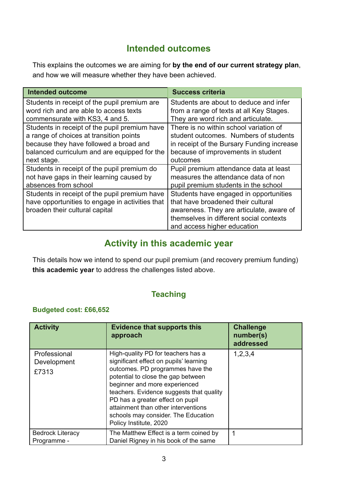# **Intended outcomes**

This explains the outcomes we are aiming for **by the end of our current strategy plan**, and how we will measure whether they have been achieved.

| <b>Intended outcome</b>                         | <b>Success criteria</b>                    |
|-------------------------------------------------|--------------------------------------------|
| Students in receipt of the pupil premium are    | Students are about to deduce and infer     |
| word rich and are able to access texts          | from a range of texts at all Key Stages.   |
| commensurate with KS3, 4 and 5.                 | They are word rich and articulate.         |
| Students in receipt of the pupil premium have   | There is no within school variation of     |
| a range of choices at transition points         | student outcomes. Numbers of students      |
| because they have followed a broad and          | in receipt of the Bursary Funding increase |
| balanced curriculum and are equipped for the    | because of improvements in student         |
| next stage.                                     | outcomes                                   |
| Students in receipt of the pupil premium do     | Pupil premium attendance data at least     |
| not have gaps in their learning caused by       | measures the attendance data of non        |
| absences from school                            | pupil premium students in the school       |
| Students in receipt of the pupil premium have   | Students have engaged in opportunities     |
| have opportunities to engage in activities that | that have broadened their cultural         |
| broaden their cultural capital                  | awareness. They are articulate, aware of   |
|                                                 | themselves in different social contexts    |
|                                                 | and access higher education                |

# **Activity in this academic year**

This details how we intend to spend our pupil premium (and recovery premium funding) **this academic year** to address the challenges listed above.

# **Teaching**

#### **Budgeted cost: £66,652**

| <b>Activity</b>                        | <b>Evidence that supports this</b><br>approach                                                                                                                                                                                                                                                                                                                                  | <b>Challenge</b><br>number(s)<br>addressed |
|----------------------------------------|---------------------------------------------------------------------------------------------------------------------------------------------------------------------------------------------------------------------------------------------------------------------------------------------------------------------------------------------------------------------------------|--------------------------------------------|
| Professional<br>Development<br>£7313   | High-quality PD for teachers has a<br>significant effect on pupils' learning<br>outcomes. PD programmes have the<br>potential to close the gap between<br>beginner and more experienced<br>teachers. Evidence suggests that quality<br>PD has a greater effect on pupil<br>attainment than other interventions<br>schools may consider. The Education<br>Policy Institute, 2020 | 1,2,3,4                                    |
| <b>Bedrock Literacy</b><br>Programme - | The Matthew Effect is a term coined by<br>Daniel Rigney in his book of the same                                                                                                                                                                                                                                                                                                 |                                            |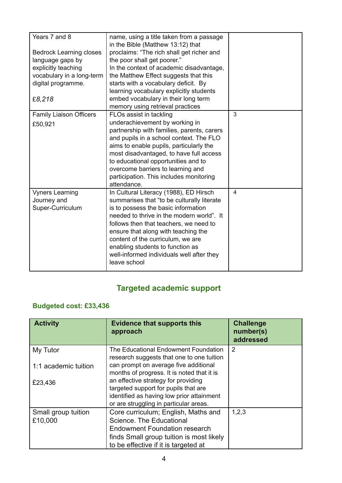| Years 7 and 8                  | name, using a title taken from a passage<br>in the Bible (Matthew 13:12) that |   |
|--------------------------------|-------------------------------------------------------------------------------|---|
|                                |                                                                               |   |
| <b>Bedrock Learning closes</b> | proclaims: "The rich shall get richer and                                     |   |
| language gaps by               | the poor shall get poorer."                                                   |   |
| explicitly teaching            | In the context of academic disadvantage,                                      |   |
| vocabulary in a long-term      | the Matthew Effect suggests that this                                         |   |
| digital programme.             | starts with a vocabulary deficit. By                                          |   |
|                                | learning vocabulary explicitly students                                       |   |
| £8,218                         | embed vocabulary in their long term                                           |   |
|                                | memory using retrieval practices                                              |   |
| <b>Family Liaison Officers</b> | FLOs assist in tackling                                                       | 3 |
| £50,921                        | underachievement by working in                                                |   |
|                                | partnership with families, parents, carers                                    |   |
|                                | and pupils in a school context. The FLO                                       |   |
|                                | aims to enable pupils, particularly the                                       |   |
|                                | most disadvantaged, to have full access                                       |   |
|                                | to educational opportunities and to                                           |   |
|                                | overcome barriers to learning and                                             |   |
|                                | participation. This includes monitoring                                       |   |
|                                | attendance.                                                                   |   |
| <b>Vyners Learning</b>         | In Cultural Literacy (1988), ED Hirsch                                        | 4 |
| Journey and                    | summarises that "to be culturally literate                                    |   |
| Super-Curriculum               | is to possess the basic information                                           |   |
|                                | needed to thrive in the modern world". It                                     |   |
|                                | follows then that teachers, we need to                                        |   |
|                                | ensure that along with teaching the                                           |   |
|                                | content of the curriculum, we are                                             |   |
|                                | enabling students to function as                                              |   |
|                                | well-informed individuals well after they                                     |   |
|                                | leave school                                                                  |   |
|                                |                                                                               |   |

# **Targeted academic support**

### **Budgeted cost: £33,436**

| <b>Activity</b>      | <b>Evidence that supports this</b><br>approach                                      | <b>Challenge</b><br>number(s)<br>addressed |
|----------------------|-------------------------------------------------------------------------------------|--------------------------------------------|
| My Tutor             | The Educational Endowment Foundation<br>research suggests that one to one tuition   | 2                                          |
| 1:1 academic tuition | can prompt on average five additional<br>months of progress. It is noted that it is |                                            |
| £23,436              | an effective strategy for providing<br>targeted support for pupils that are         |                                            |
|                      | identified as having low prior attainment                                           |                                            |
|                      | or are struggling in particular areas.                                              |                                            |
| Small group tuition  | Core curriculum; English, Maths and                                                 | 1,2,3                                      |
| £10,000              | Science. The Educational                                                            |                                            |
|                      | <b>Endowment Foundation research</b>                                                |                                            |
|                      | finds Small group tuition is most likely                                            |                                            |
|                      | to be effective if it is targeted at                                                |                                            |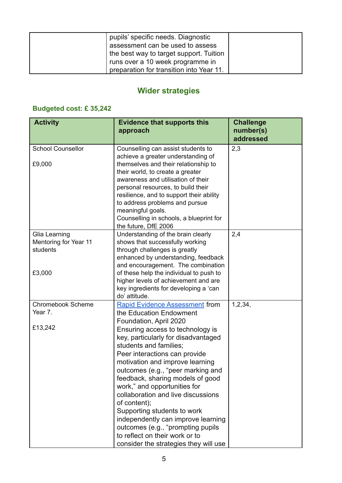| pupils' specific needs. Diagnostic<br>assessment can be used to assess<br>the best way to target support. Tuition<br>runs over a 10 week programme in |  |
|-------------------------------------------------------------------------------------------------------------------------------------------------------|--|
| preparation for transition into Year 11.                                                                                                              |  |

# **Wider strategies**

### **Budgeted cost: £ 35,242**

| <b>Activity</b>          | <b>Evidence that supports this</b>                                            | <b>Challenge</b>       |
|--------------------------|-------------------------------------------------------------------------------|------------------------|
|                          | approach                                                                      | number(s)<br>addressed |
| <b>School Counsellor</b> | Counselling can assist students to                                            | 2,3                    |
| £9,000                   | achieve a greater understanding of<br>themselves and their relationship to    |                        |
|                          | their world, to create a greater                                              |                        |
|                          | awareness and utilisation of their                                            |                        |
|                          | personal resources, to build their                                            |                        |
|                          | resilience, and to support their ability                                      |                        |
|                          | to address problems and pursue                                                |                        |
|                          | meaningful goals.<br>Counselling in schools, a blueprint for                  |                        |
|                          | the future, DfE 2006                                                          |                        |
| Glia Learning            | Understanding of the brain clearly                                            | 2,4                    |
| Mentoring for Year 11    | shows that successfully working                                               |                        |
| students                 | through challenges is greatly                                                 |                        |
|                          | enhanced by understanding, feedback                                           |                        |
| £3,000                   | and encouragement. The combination<br>of these help the individual to push to |                        |
|                          | higher levels of achievement and are                                          |                        |
|                          | key ingredients for developing a 'can                                         |                        |
|                          | do' attitude.                                                                 |                        |
| <b>Chromebook Scheme</b> | <b>Rapid Evidence Assessment from</b>                                         | 1,2,34,                |
| Year 7.                  | the Education Endowment                                                       |                        |
|                          | Foundation, April 2020                                                        |                        |
| £13,242                  | Ensuring access to technology is                                              |                        |
|                          | key, particularly for disadvantaged                                           |                        |
|                          | students and families;<br>Peer interactions can provide                       |                        |
|                          | motivation and improve learning                                               |                        |
|                          | outcomes (e.g., "peer marking and                                             |                        |
|                          | feedback, sharing models of good                                              |                        |
|                          | work," and opportunities for                                                  |                        |
|                          | collaboration and live discussions                                            |                        |
|                          | of content);                                                                  |                        |
|                          | Supporting students to work                                                   |                        |
|                          | independently can improve learning                                            |                        |
|                          | outcomes (e.g., "prompting pupils                                             |                        |
|                          | to reflect on their work or to                                                |                        |
|                          | consider the strategies they will use                                         |                        |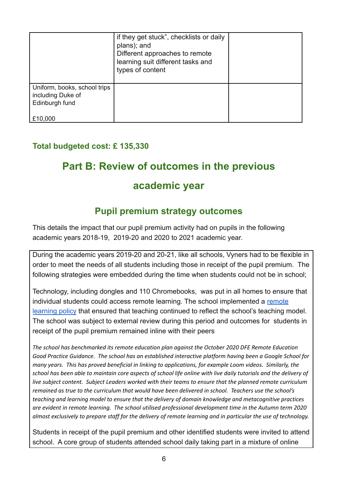|                                                                     | if they get stuck", checklists or daily<br>plans); and<br>Different approaches to remote<br>learning suit different tasks and<br>types of content |  |
|---------------------------------------------------------------------|---------------------------------------------------------------------------------------------------------------------------------------------------|--|
| Uniform, books, school trips<br>including Duke of<br>Edinburgh fund |                                                                                                                                                   |  |
| £10,000                                                             |                                                                                                                                                   |  |

### **Total budgeted cost: £ 135,330**

# **Part B: Review of outcomes in the previous academic year**

# **Pupil premium strategy outcomes**

This details the impact that our pupil premium activity had on pupils in the following academic years 2018-19, 2019-20 and 2020 to 2021 academic year.

During the academic years 2019-20 and 20-21, like all schools, Vyners had to be flexible in order to meet the needs of all students including those in receipt of the pupil premium. The following strategies were embedded during the time when students could not be in school;

Technology, including dongles and 110 Chromebooks, was put in all homes to ensure that individual students could access [remote](https://www.vynersschool.org.uk/attachments/download.asp?file=3374&type=pdf) learning. The school implemented a remote [learning policy](https://www.vynersschool.org.uk/attachments/download.asp?file=3374&type=pdf) that ensured that teaching continued to reflect the school's teaching model. The school was subject to external review during this period and outcomes for students in receipt of the pupil premium remained inline with their peers

*The school has benchmarked its remote education plan against the October 2020 DFE Remote Education Good Practice Guidance. The school has an established interactive platform having been a Google School for many years. This has proved beneficial in linking to applications, for example Loom videos. Similarly, the* school has been able to maintain core aspects of school life online with live daily tutorials and the delivery of *live subject content. Subject Leaders worked with their teams to ensure that the planned remote curriculum remained as true to the curriculum that would have been delivered in school. Teachers use the school's teaching and learning model to ensure that the delivery of domain knowledge and metacognitive practices are evident in remote learning. The school utilised professional development time in the Autumn term 2020* almost exclusively to prepare staff for the delivery of remote learning and in particular the use of technology.

Students in receipt of the pupil premium and other identified students were invited to attend school. A core group of students attended school daily taking part in a mixture of online